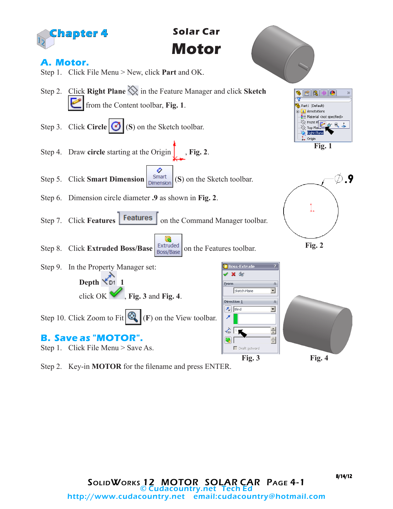

Step 2. Key-in **MOTOR** for the filename and press ENTER.